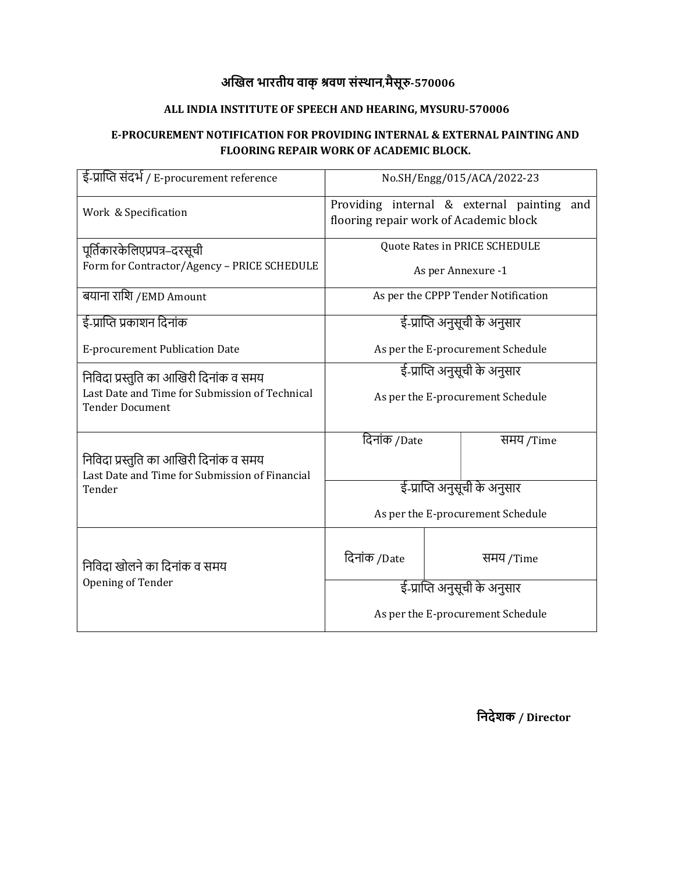## अखिल भारतीय वाक् श्रवण संस्थान,मैसूरु-570006

### ALL INDIA INSTITUTE OF SPEECH AND HEARING, MYSURU-570006

#### E-PROCUREMENT NOTIFICATION FOR PROVIDING INTERNAL & EXTERNAL PAINTING AND FLOORING REPAIR WORK OF ACADEMIC BLOCK.

| ई-प्राप्ति संदर्भ / E-procurement reference                              | No.SH/Engg/015/ACA/2022-23                                                           |           |  |  |  |  |
|--------------------------------------------------------------------------|--------------------------------------------------------------------------------------|-----------|--|--|--|--|
| Work & Specification                                                     | Providing internal & external painting and<br>flooring repair work of Academic block |           |  |  |  |  |
| पूर्तिकारकेलिएप्रपत्र–दरसूची                                             | Quote Rates in PRICE SCHEDULE                                                        |           |  |  |  |  |
| Form for Contractor/Agency - PRICE SCHEDULE                              | As per Annexure -1                                                                   |           |  |  |  |  |
| बयाना राशि /EMD Amount                                                   | As per the CPPP Tender Notification                                                  |           |  |  |  |  |
| ई-प्राप्ति प्रकाशन दिनांक                                                | ई-प्राप्ति अनुसूची के अनुसार                                                         |           |  |  |  |  |
| E-procurement Publication Date                                           | As per the E-procurement Schedule                                                    |           |  |  |  |  |
| निविदा प्रस्तुति का आखिरी दिनांक व समय                                   | ई-प्राप्ति अनुसूची के अनुसार                                                         |           |  |  |  |  |
| Last Date and Time for Submission of Technical<br><b>Tender Document</b> | As per the E-procurement Schedule                                                    |           |  |  |  |  |
|                                                                          | दिनांक /Date                                                                         | समय /Time |  |  |  |  |
| निविदा प्रस्तुति का आखिरी दिनांक व समय                                   |                                                                                      |           |  |  |  |  |
| Last Date and Time for Submission of Financial<br>Tender                 | ई-प्राप्ति अनुसूची के अनुसार                                                         |           |  |  |  |  |
|                                                                          | As per the E-procurement Schedule                                                    |           |  |  |  |  |
| निविदा खोलने का दिनांक व समय<br>Opening of Tender                        | दिनांक /Date                                                                         | समय /Time |  |  |  |  |
|                                                                          | ई-प्राप्ति अनुसूची के अनुसार                                                         |           |  |  |  |  |
|                                                                          | As per the E-procurement Schedule                                                    |           |  |  |  |  |

िनदेशक / Director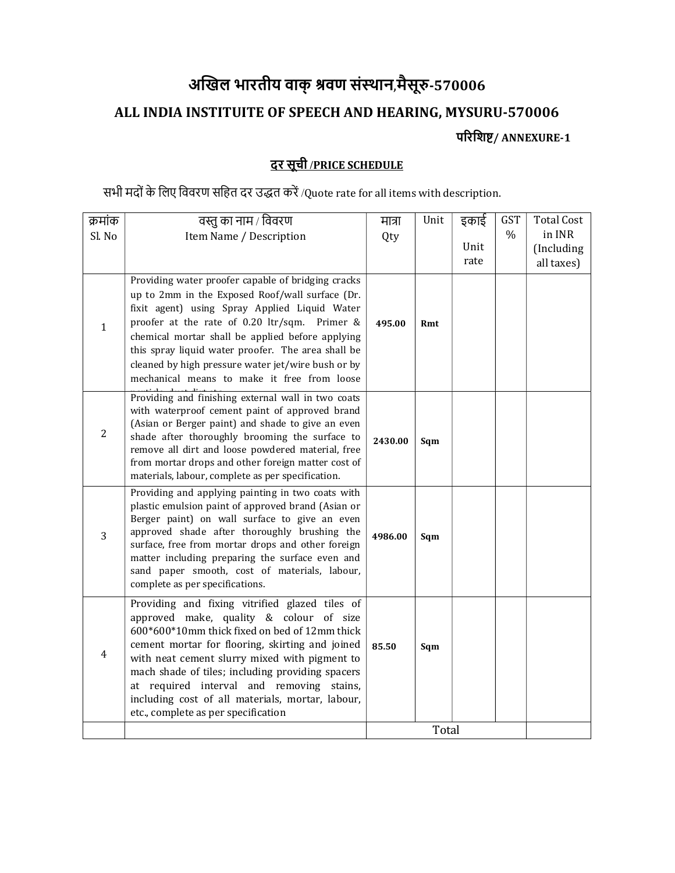# अखिल भारतीय वाक् श्रवण संस्थान,मैसूरु-570006

### ALL INDIA INSTITUITE OF SPEECH AND HEARING, MYSURU-570006

परिशिष्ट/ ANNEXURE-1

# दर सूची /PRICE SCHEDULE

सभी मदों के लिए विवरण सहित दर उद्धत करें /Quote rate for all items with description.

| क्रमांक        | वस्तु का नाम / विवरण                                                                                | मात्रा  | Unit | इकाई | <b>GST</b> | <b>Total Cost</b> |
|----------------|-----------------------------------------------------------------------------------------------------|---------|------|------|------------|-------------------|
| Sl. No         | Item Name / Description                                                                             | Qty     |      |      | $\%$       | in INR            |
|                |                                                                                                     |         |      | Unit |            | (Including        |
|                |                                                                                                     |         |      | rate |            | all taxes)        |
|                | Providing water proofer capable of bridging cracks                                                  |         |      |      |            |                   |
|                | up to 2mm in the Exposed Roof/wall surface (Dr.                                                     |         |      |      |            |                   |
|                | fixit agent) using Spray Applied Liquid Water                                                       |         |      |      |            |                   |
| $\mathbf{1}$   | proofer at the rate of 0.20 ltr/sqm. Primer &                                                       | 495.00  | Rmt  |      |            |                   |
|                | chemical mortar shall be applied before applying                                                    |         |      |      |            |                   |
|                | this spray liquid water proofer. The area shall be                                                  |         |      |      |            |                   |
|                | cleaned by high pressure water jet/wire bush or by                                                  |         |      |      |            |                   |
|                | mechanical means to make it free from loose                                                         |         |      |      |            |                   |
|                | Providing and finishing external wall in two coats                                                  |         |      |      |            |                   |
|                | with waterproof cement paint of approved brand                                                      |         |      |      |            |                   |
| $\overline{2}$ | (Asian or Berger paint) and shade to give an even<br>shade after thoroughly brooming the surface to |         |      |      |            |                   |
|                | remove all dirt and loose powdered material, free                                                   | 2430.00 | Sqm  |      |            |                   |
|                | from mortar drops and other foreign matter cost of                                                  |         |      |      |            |                   |
|                | materials, labour, complete as per specification.                                                   |         |      |      |            |                   |
|                | Providing and applying painting in two coats with                                                   |         |      |      |            |                   |
|                | plastic emulsion paint of approved brand (Asian or                                                  |         |      |      |            |                   |
|                | Berger paint) on wall surface to give an even                                                       |         |      |      |            |                   |
| 3              | approved shade after thoroughly brushing the                                                        | 4986.00 | Sqm  |      |            |                   |
|                | surface, free from mortar drops and other foreign                                                   |         |      |      |            |                   |
|                | matter including preparing the surface even and<br>sand paper smooth, cost of materials, labour,    |         |      |      |            |                   |
|                | complete as per specifications.                                                                     |         |      |      |            |                   |
|                |                                                                                                     |         |      |      |            |                   |
|                | Providing and fixing vitrified glazed tiles of<br>approved make, quality & colour of size           |         |      |      |            |                   |
|                | 600*600*10mm thick fixed on bed of 12mm thick                                                       |         |      |      |            |                   |
|                | cement mortar for flooring, skirting and joined                                                     |         |      |      |            |                   |
| $\overline{4}$ | with neat cement slurry mixed with pigment to                                                       | 85.50   | Sqm  |      |            |                   |
|                | mach shade of tiles; including providing spacers                                                    |         |      |      |            |                   |
|                | at required interval and removing stains,                                                           |         |      |      |            |                   |
|                | including cost of all materials, mortar, labour,                                                    |         |      |      |            |                   |
|                | etc., complete as per specification                                                                 |         |      |      |            |                   |
|                |                                                                                                     | Total   |      |      |            |                   |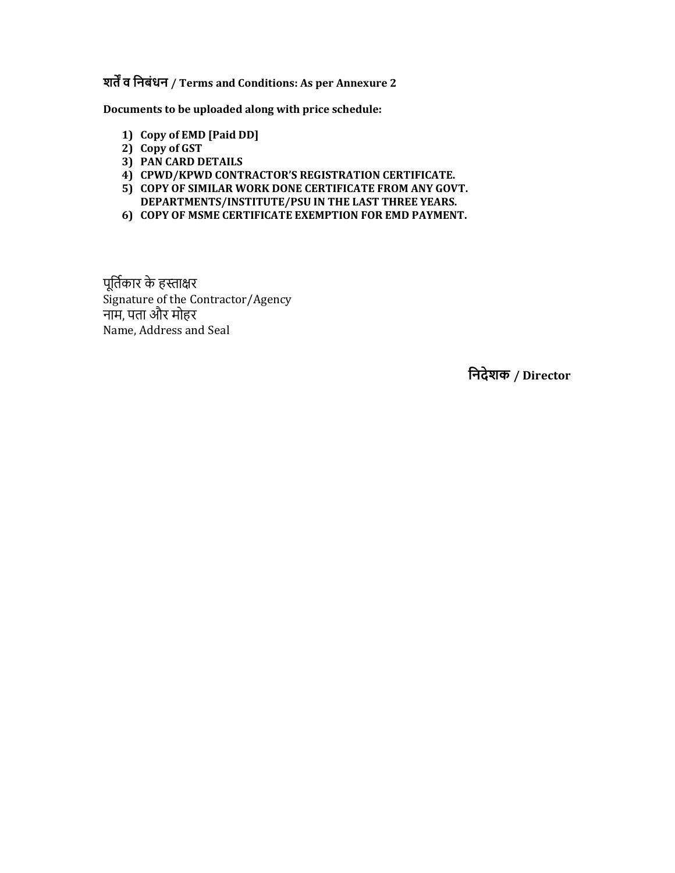शर्तें व निबंधन / Terms and Conditions: As per Annexure 2

Documents to be uploaded along with price schedule:

- 1) Copy of EMD [Paid DD]
- 2) Copy of GST
- 3) PAN CARD DETAILS
- 4) CPWD/KPWD CONTRACTOR'S REGISTRATION CERTIFICATE.
- 5) COPY OF SIMILAR WORK DONE CERTIFICATE FROM ANY GOVT. DEPARTMENTS/INSTITUTE/PSU IN THE LAST THREE YEARS.
- 6) COPY OF MSME CERTIFICATE EXEMPTION FOR EMD PAYMENT.

पूर्तिकार के हस्ताक्षर Signature of the Contractor/Agency नाम, पता और मोहर Name, Address and Seal

िनदेशक / Director